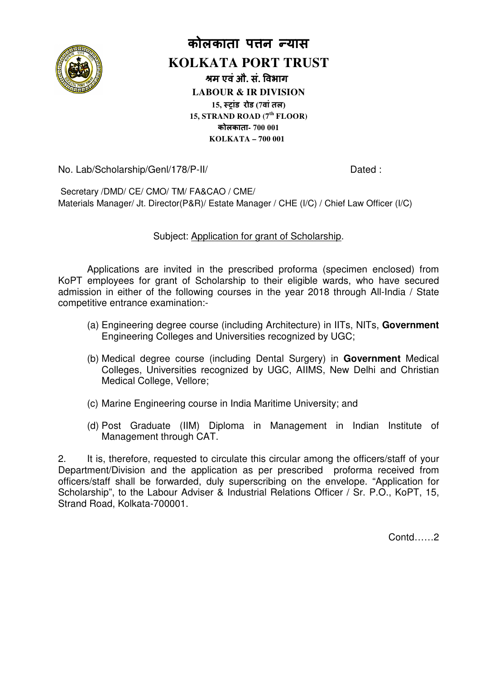

# **कोलकाता पन यास**

# **KOLKATA PORT TRUST**

**म एवंऔ. सं. वभाग LABOUR & IR DIVISION 15, ांड रोड (7वांतल) 15, STRAND ROAD (7th FLOOR) कोलकाता- 700 001 KOLKATA – 700 001** 

No. Lab/Scholarship/Genl/178/P /Genl/178/P-II/

Dated :

Secretary /DMD/ CE/ CMO/ TM/ FA&CAO / CME/ Materials Manager/ Jt. Director(P&R)/ Estate Manager / CHE (I/C) / Chief Law Officer (I/C)

## Subject: Application for grant of Scholarship.

Applications are invited in the prescribed proforma (specimen enclosed) from KoPT employees for grant of Scholarship to their eligible wards, who have secured admission in either of the following courses in the year 2018 through All-India / State competitive entrance examination:-

- (a) Engineering degree course (including Architecture) in IITs, NITs, **Government**  Engineering Colleges and Universities recognized by UGC;
- (b) Medical degree course (including Dental Surgery) in **Government**  Medical Colleges, Universities recognized by UGC, AIIMS, New Delhi and Christian Medical College, Vellore;
- (c) Marine Engineering course in India Maritime University; and
- (d) Post Graduate (IIM) Diploma in Management in Indian Institute Institute of Management through CAT.

2. It is, therefore, requested to circulate this circular among the officers/staff of your Department/Division and the application as per prescribed proforma received from officers/staff shall be forwarded, duly superscribing on the envelope. "Application for Scholarship", to the Labour Adviser & Industrial Relations Officer / Sr. P.O., KoPT, 15, Strand Road, Kolkata-700001. 700001. 

Contd……2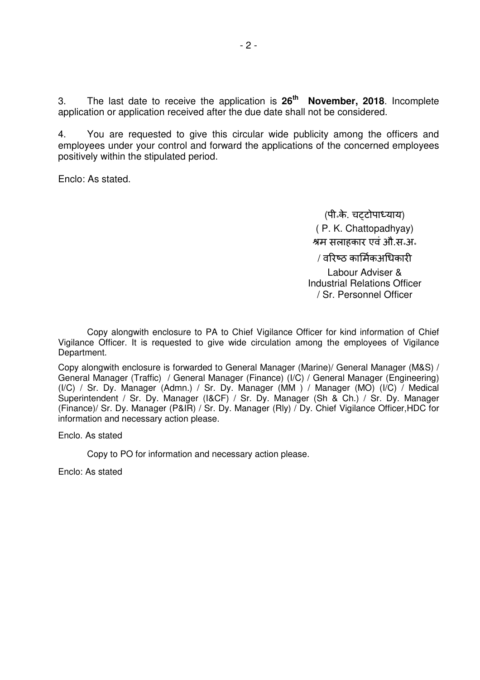3. The last date to receive the application is **26th November, 2018**. Incomplete application or application received after the due date shall not be considered.

4. You are requested to give this circular wide publicity among the officers and employees under your control and forward the applications of the concerned employees positively within the stipulated period.

Enclo: As stated.

(पी॰के. चटोपायाय) ( P. K. Chattopadhyay) म सलाहकार एवंऔ.स॰अ॰ / वरिष्ठ कार्मिकअधिकारी Labour Adviser & Industrial Relations Officer / Sr. Personnel Officer

Copy alongwith enclosure to PA to Chief Vigilance Officer for kind information of Chief Vigilance Officer. It is requested to give wide circulation among the employees of Vigilance Department.

Copy alongwith enclosure is forwarded to General Manager (Marine)/ General Manager (M&S) / General Manager (Traffic) / General Manager (Finance) (I/C) / General Manager (Engineering) (I/C) / Sr. Dy. Manager (Admn.) / Sr. Dy. Manager (MM ) / Manager (MO) (I/C) / Medical Superintendent / Sr. Dy. Manager (I&CF) / Sr. Dy. Manager (Sh & Ch.) / Sr. Dy. Manager (Finance)/ Sr. Dy. Manager (P&IR) / Sr. Dy. Manager (Rly) / Dy. Chief Vigilance Officer,HDC for information and necessary action please.

Enclo. As stated

Copy to PO for information and necessary action please.

Enclo: As stated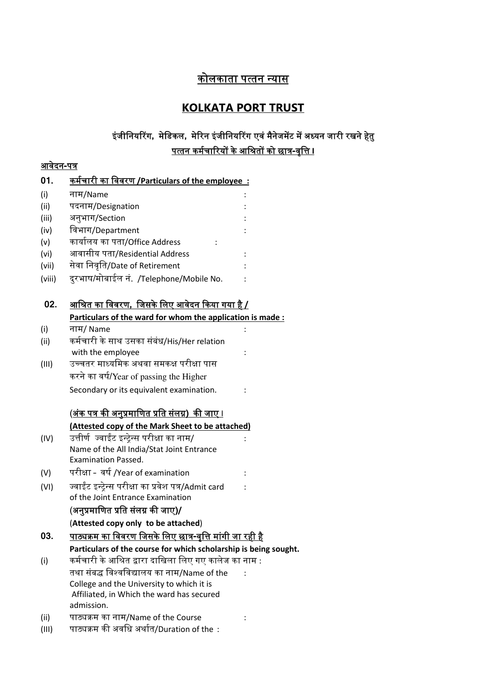# <u>कोलकाता पत्तन न्यास</u>

# **KOLKATA PORT TRUST**

# इंजीनियरिंग, मेडिकल, मेरिन इंजीनियरिंग एवं मैनेजमेंट में अध्यन जारी रखने हेतु <u>पत्तन कर्मचारियों के आश्रितों को छात्र-वृत्ति ।</u>

## <u>आवेदन-पत्र</u>

| 01.    | कर्मचारी का <u>विवरण /Particulars of the employee :</u>          |  |
|--------|------------------------------------------------------------------|--|
| (i)    | नाम/Name                                                         |  |
| (ii)   | पदनाम/Designation                                                |  |
| (iii)  | अनुभाग/Section                                                   |  |
| (iv)   | विभाग/Department                                                 |  |
| (v)    | कार्यालय का पता/Office Address                                   |  |
| (vi)   | आवासीय पता/Residential Address                                   |  |
| (vii)  | सेवा निवृति/Date of Retirement                                   |  |
| (viii) | दुरभाष/मोबाईल नं. /Telephone/Mobile No.                          |  |
| 02.    | <u>आश्रित का विवरण,  जिसके लिए आवेदन किया गया है /</u>           |  |
|        | Particulars of the ward for whom the application is made:        |  |
| (i)    | नाम/ Name                                                        |  |
| (ii)   | कर्मचारी के साथ उसका संबंध/His/Her relation                      |  |
|        | with the employee                                                |  |
| (III)  | उच्चतर माध्यमिक अथवा समकक्ष परीक्षा पास                          |  |
|        | करने का वर्ष/Year of passing the Higher                          |  |
|        | Secondary or its equivalent examination.                         |  |
|        | <u>(अंक पत्र की अनुप्रमाणित प्रति संलग्न)  की जाए ।</u>          |  |
|        | (Attested copy of the Mark Sheet to be attached)                 |  |
| (IV)   | उत्तीर्ण  ज्वाईंट इन्ट्रेन्स परीक्षा का नाम/                     |  |
|        | Name of the All India/Stat Joint Entrance                        |  |
|        | <b>Examination Passed.</b>                                       |  |
| (V)    | परीक्षा -  वर्ष /Year of examination                             |  |
| (VI)   | ज्वाईंट इन्ट्रेन्स परीक्षा का प्रवेश पत्र/Admit card             |  |
|        | of the Joint Entrance Examination                                |  |
|        | (अनुप्रमाणित प्रति संलग्न की जाए)/                               |  |
|        | (Attested copy only to be attached)                              |  |
| 03     | <u>पाठ्यक्रम का विवरण जिसके लिए छात्र-वृत्ति मांगी जा रही है</u> |  |
|        | Particulars of the course for which scholarship is being sought. |  |
| (i)    | कर्मचारी के आश्रित द्वारा दाखिला लिए गए कालेज का नाम :           |  |
|        | तथा संबद्ध विश्वविद्यालय का नाम/Name of the                      |  |
|        | College and the University to which it is                        |  |
|        | Affiliated, in Which the ward has secured                        |  |
|        | admission.                                                       |  |
| (ii)   | पाठ्यक्रम का नाम/Name of the Course                              |  |
| (III)  | पाठ्यक्रम की अवधि अर्थात/Duration of the:                        |  |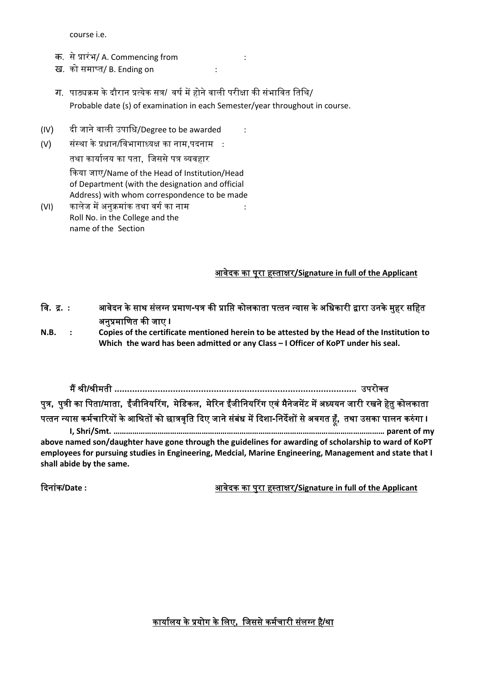course i.e.

- क. से ᮧारंभ/ A. Commencing from :
- ख. को समाप्त/ B. Ending on : : : :
- ग. पाठ्यक्रम के दौरान प्रत्येक सत्र/ वर्ष में होने वाली परीक्षा की संभावित तिथि/ Probable date (s) of examination in each Semester/year throughout in course.
- (IV) दी जाने वाली उपािध/Degree to be awarded :
- (V) संस्था के प्रधान/विभागाध्यक्ष का नाम,पदनाम : तथा कार्यालय का पता, जिससे पत्र व्यवहार ᳰकया जाए/Name of the Head of Institution/Head of Department (with the designation and official Address) with whom correspondence to be made (VI) कालेज में अनुक्रमांक तथा वर्ग का नाम
- Roll No. in the College and the name of the Section

#### आवदेक का परूा ह᭭त ाᭃर**/Signature in full of the Applicant**

- वि. द्र. : आवेदन के साथ संलग्न प्रमाण-पत्र की प्राप्ति कोलकाता पत्तन न्यास के अधिकारी द्वारा उनके मुहर सहित अनप्रमाणित की जाए **I**
- **N.B. : Copies of the certificate mentioned herein to be attested by the Head of the Institution to Which the ward has been admitted or any Class – I Officer of KoPT under his seal.**

म ᱹ᮰ी**/**᮰ीमती **...............................................................................................** उपरोत पुत्र, पुत्री का पिता/माता, ईंजीनियरिंग, मेडिकल, मेरिन ईंजीनियरिंग एवं मैनेजमेंट में अध्ययन जारी रखने हेतु कोलकाता पत्तन न्यास कर्मचारियों के आश्रितों को छात्रवृति दिए जाने संबंध में दिशा-निर्देशों से अवगत हूँ, तथा उसका पालन करुंगा I **I, Shri/Smt. ………………………………………………………………………………………………………………… parent of my above named son/daughter have gone through the guidelines for awarding of scholarship to ward of KoPT employees for pursuing studies in Engineering, Medcial, Marine Engineering, Management and state that I shall abide by the same.** 

ᳰदनाकं **/Date :** आवदेक का परुा ह᭭त ाᭃर**/Signature in full of the Applicant**